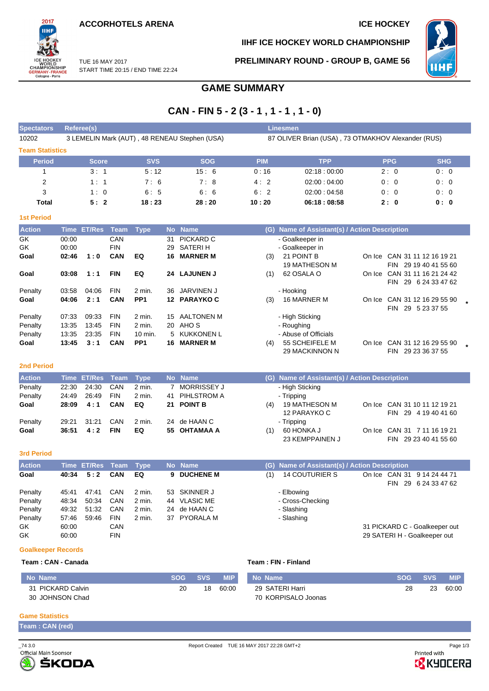**ACCORHOTELS ARENA ICE HOCKEY** 

START TIME 20:15 / END TIME 22:24

TUE 16 MAY 2017



**IIHF ICE HOCKEY WORLD CHAMPIONSHIP**

**PRELIMINARY ROUND - GROUP B, GAME 56**



# **GAME SUMMARY**

# **CAN - FIN 5 - 2 (3 - 1 , 1 - 1 , 1 - 0)**

| <b>Spectators</b>      | Referee(s)                                                                                          |            |            | Linesmen   |             |            |            |  |  |  |  |
|------------------------|-----------------------------------------------------------------------------------------------------|------------|------------|------------|-------------|------------|------------|--|--|--|--|
| 10202                  | 3 LEMELIN Mark (AUT), 48 RENEAU Stephen (USA)<br>87 OLIVER Brian (USA), 73 OTMAKHOV Alexander (RUS) |            |            |            |             |            |            |  |  |  |  |
| <b>Team Statistics</b> |                                                                                                     |            |            |            |             |            |            |  |  |  |  |
| <b>Period</b>          | <b>Score</b>                                                                                        | <b>SVS</b> | <b>SOG</b> | <b>PIM</b> | <b>TPP</b>  | <b>PPG</b> | <b>SHG</b> |  |  |  |  |
|                        | 3:1                                                                                                 | 5:12       | 15:6       | 0:16       | 02:18:00:00 | 2:0        | 0:0        |  |  |  |  |
| 2                      | 1:1                                                                                                 | 7:6        | 7:8        | 4:2        | 02:00:04:00 | 0:0        | 0:0        |  |  |  |  |
| 3                      | 1:0                                                                                                 | 6:5        | 6:6        | 6:2        | 02:00:04:58 | 0:0        | 0:0        |  |  |  |  |
| Total                  | 5:2                                                                                                 | 18:23      | 28:20      | 10:20      | 06:18:08:58 | 2:0        | 0:0        |  |  |  |  |

| <b>1st Period</b> |       |               |            |                 |                  |                   |     |                                           |        |                             |  |
|-------------------|-------|---------------|------------|-----------------|------------------|-------------------|-----|-------------------------------------------|--------|-----------------------------|--|
| <b>Action</b>     | Time  | <b>ET/Res</b> | Team       | <b>Type</b>     | <b>No</b>        | <b>Name</b>       | (G) | Name of Assistant(s) / Action Description |        |                             |  |
| GK                | 00:00 |               | CAN        |                 | 31               | PICKARD C         |     | - Goalkeeper in                           |        |                             |  |
| GK                | 00:00 |               | <b>FIN</b> |                 | 29               | SATERI H          |     | - Goalkeeper in                           |        |                             |  |
| Goal              | 02:46 | 1:0           | <b>CAN</b> | EQ              | 16               | <b>MARNER M</b>   | (3) | 21 POINT B                                | On Ice | CAN 31 11 12 16 19 21       |  |
|                   |       |               |            |                 |                  |                   |     | <b>19 MATHESON M</b>                      |        | FIN 29 19 40 41 55 60       |  |
| Goal              | 03:08 | 1:1           | <b>FIN</b> | EQ              | 24               | <b>LAJUNEN J</b>  | (1) | 62 OSALA O                                | On Ice | CAN 31 11 16 21 24 42       |  |
|                   |       |               |            |                 |                  |                   |     |                                           |        | 29 6 24 33 47 62<br>FIN.    |  |
| Penalty           | 03:58 | 04:06         | <b>FIN</b> | 2 min.          | 36               | JARVINEN J        |     | - Hooking                                 |        |                             |  |
| Goal              | 04:06 | 2:1           | <b>CAN</b> | PP <sub>1</sub> | 12 <sup>12</sup> | <b>PARAYKO C</b>  | (3) | <b>16 MARNER M</b>                        | On Ice | CAN 31 12 16 29 55 90       |  |
|                   |       |               |            |                 |                  |                   |     |                                           |        | 29 5 23 37 55<br><b>FIN</b> |  |
| Penalty           | 07:33 | 09:33         | <b>FIN</b> | 2 min.          | 15               | <b>AALTONEN M</b> |     | - High Sticking                           |        |                             |  |
| Penalty           | 13:35 | 13:45         | <b>FIN</b> | $2$ min.        | 20               | AHO S             |     | - Roughing                                |        |                             |  |
| Penalty           | 13:35 | 23:35         | <b>FIN</b> | 10 min.         |                  | 5 KUKKONEN L      |     | - Abuse of Officials                      |        |                             |  |
| Goal              | 13:45 | 3:1           | <b>CAN</b> | PP <sub>1</sub> | 16               | <b>MARNER M</b>   | (4) | 55 SCHEIFELE M                            | On Ice | CAN 31 12 16 29 55 90       |  |
|                   |       |               |            |                 |                  |                   |     | 29 MACKINNON N                            |        | 29 23 36 37 55<br>FIN       |  |

#### **2nd Period**

| <b>Action</b> |       | Time ET/Res Team Type |            |          | No Name        | (G) Name of Assistant(s) / Action Description                                                |
|---------------|-------|-----------------------|------------|----------|----------------|----------------------------------------------------------------------------------------------|
| Penalty       | 22:30 | 24:30                 | CAN        | 2 min.   | MORRISSEY J    | - High Sticking                                                                              |
| Penalty       | 24:49 | 26:49                 | <b>FIN</b> | $2$ min. | 41 PIHLSTROM A | - Tripping                                                                                   |
| Goal          | 28:09 | 4:1                   | <b>CAN</b> | EQ       | 21 POINT B     | On Ice CAN 31 10 11 12 19 21<br>19 MATHESON M<br>(4)<br>12 PARAYKO C<br>FIN 29 4 19 40 41 60 |
| Penalty       | 29:21 | 31:21                 | CAN        | 2 min.   | 24 de HAAN C   | - Tripping                                                                                   |
| Goal          | 36:51 | 4:2                   | <b>FIN</b> | EQ       | 55 OHTAMAA A   | On Ice CAN 31 7 11 16 19 21<br>60 HONKA J<br>(1)<br>23 KEMPPAINEN J<br>FIN 29 23 40 41 55 60 |

#### **3rd Period**

| <b>Action</b> |       | Time ET/Res Team Type |            |                  | No Name      |     | (G) Name of Assistant(s) / Action Description |            |                                                 |
|---------------|-------|-----------------------|------------|------------------|--------------|-----|-----------------------------------------------|------------|-------------------------------------------------|
| Goal          | 40:34 | 5:2                   | <b>CAN</b> | EQ               | 9 DUCHENE M  | (1) | <b>14 COUTURIER S</b>                         | <b>FIN</b> | On Ice CAN 31 9 14 24 44 71<br>29 6 24 33 47 62 |
| Penalty       | 45:41 | 47:41                 | <b>CAN</b> | $2$ min.         | 53 SKINNER J |     | - Elbowing                                    |            |                                                 |
| Penalty       | 48:34 | 50:34                 | CAN        | $2 \text{ min.}$ | 44 VLASIC ME |     | - Cross-Checking                              |            |                                                 |
| Penalty       | 49:32 | 51:32                 | CAN        | $2 \text{ min.}$ | 24 de HAAN C |     | - Slashing                                    |            |                                                 |
| Penalty       | 57:46 | 59:46                 | <b>FIN</b> | $2$ min.         | 37 PYORALA M |     | - Slashing                                    |            |                                                 |
| GK.           | 60:00 |                       | <b>CAN</b> |                  |              |     |                                               |            | 31 PICKARD C - Goalkeeper out                   |
| GK            | 60:00 |                       | <b>FIN</b> |                  |              |     |                                               |            | 29 SATERI H - Goalkeeper out                    |

#### **Goalkeeper Records**

#### **Team : CAN - Canada Team : FIN - Finland**

| No Name           | <b>SOG</b> | <b>SVS</b> | <b>MIP</b> | No Name             | <b>SOG</b> | <b>SVS</b> | <b>MIP</b> |
|-------------------|------------|------------|------------|---------------------|------------|------------|------------|
| 31 PICKARD Calvin | 20         | 18         | 60:00      | 29 SATERI Harri     | 28         | 23         | 60:00      |
| 30 JOHNSON Chad   |            |            |            | 70 KORPISALO Joonas |            |            |            |

#### **Game Statistics**

| Team: CAN (red) |  |  |
|-----------------|--|--|
|-----------------|--|--|



**B** KYOCERA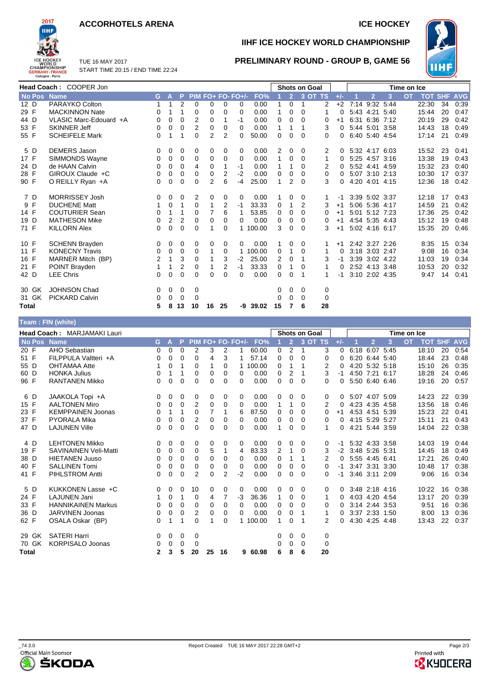### **ACCORHOTELS ARENA ICE HOCKEY**

START TIME 20:15 / END TIME 22:24



TUE 16 MAY 2017

# **IIHF ICE HOCKEY WORLD CHAMPIONSHIP**



## **PRELIMINARY ROUND - GROUP B, GAME 56**

|             | Head Coach: COOPER Jon |    |             |          |                |                |    |                   |          |    |                | <b>Shots on Goal</b> |         | Time on Ice |  |                |                |           |            |            |            |
|-------------|------------------------|----|-------------|----------|----------------|----------------|----|-------------------|----------|----|----------------|----------------------|---------|-------------|--|----------------|----------------|-----------|------------|------------|------------|
| No Pos Name |                        | G. | А           | P        |                |                |    | PIM FO+ FO- FO+/- | FO%      | 1  | $\overline{2}$ |                      | 3 OT TS | $+/-$       |  | $\overline{2}$ | 3              | <b>OT</b> | <b>TOT</b> | <b>SHF</b> | <b>AVG</b> |
| 12 D        | PARAYKO Colton         | 1  | 1           | 2        | 0              | 0              | 0  | 0                 | 0.00     |    | 0              | 1                    | 2       | $+2$        |  |                | 7:14 9:32 5:44 |           | 22:30      | 34         | 0:39       |
| 29 F        | <b>MACKINNON Nate</b>  | 0  |             | 1        | 0              | 0              | 0  | $\Omega$          | 0.00     | 1  | 0              | 0                    | 1       | 0           |  |                | 5:43 4:21 5:40 |           | 15:44      | 20         | 0:47       |
| 44 D        | VLASIC Marc-Edouard +A | 0  | 0           | 0        | 2              | 0              |    | $-1$              | 0.00     | 0  | 0              | 0                    | 0       | $+1$        |  |                | 6:31 6:36 7:12 |           | 20:19      | 29         | 0:42       |
| 53 F        | <b>SKINNER Jeff</b>    | 0  | 0           | 0        | 2              | 0              | 0  | $\Omega$          | 0.00     | 1  |                |                      | 3       | $\Omega$    |  | 5:44 5:01 3:58 |                |           | 14:43      | 18         | 0:49       |
| 55 F        | <b>SCHEIFELE Mark</b>  | 0  |             |          | $\Omega$       | $\overline{2}$ | 2  | 0                 | 50.00    | 0  | 0              | 0                    | 0       | 0           |  |                | 6:40 5:40 4:54 |           | 17:14      | 21         | 0:49       |
| 5 D         | <b>DEMERS Jason</b>    | 0  | 0           | 0        | 0              | 0              | 0  | 0                 | 0.00     | 2  | 0              | 0                    | 2       | 0           |  |                | 5:32 4:17 6:03 |           | 15:52      | 23         | 0:41       |
| 17 F        | SIMMONDS Wayne         | 0  | 0           | 0        | 0              | 0              | 0  | 0                 | 0.00     | 1  | 0              | 0                    | 1       | 0           |  |                | 5:25 4:57 3:16 |           | 13:38      | 19         | 0:43       |
| 24 D        | de HAAN Calvin         | 0  | 0           | 0        | 4              | 0              |    | -1                | 0.00     | 1  |                | $\Omega$             | 2       | 0           |  | 5:52 4:41 4:59 |                |           | 15:32      | 23         | 0:40       |
| 28 F        | GIROUX Claude +C       | 0  | 0           | 0        | 0              | 0              | 2  | $-2$              | 0.00     | 0  | 0              | 0                    | 0       | 0           |  |                | 5:07 3:10 2:13 |           | 10:30      | 17         | 0:37       |
| 90 F        | O REILLY Ryan +A       | 0  | 0           | 0        | 0              | 2              | 6  | $-4$              | 25.00    | 1  | 2              | $\Omega$             | 3       | 0           |  |                | 4:20 4:01 4:15 |           | 12:36      | 18         | 0:42       |
| 7 D         | <b>MORRISSEY Josh</b>  | 0  | 0           | 0        | $\overline{2}$ | 0              | 0  | 0                 | 0.00     |    | 0              | 0                    |         | -1          |  | 3:39 5:02 3:37 |                |           | 12:18      | 17         | 0:43       |
| 9 F         | <b>DUCHENE Matt</b>    | 1  | 0           | 1        | 0              |                | 2  | $-1$              | 33.33    | 0  |                | 2                    | 3       | $+1$        |  | 5:06 5:36 4:17 |                |           | 14:59      | 21         | 0:42       |
| 14 F        | <b>COUTURIER Sean</b>  | 0  | 1           | 1        | 0              | 7              | 6  | 1                 | 53.85    | 0  | 0              | $\Omega$             | 0       | $+1$        |  | 5:01 5:12 7:23 |                |           | 17:36      | 25         | 0:42       |
| 19 D        | <b>MATHESON Mike</b>   | 0  | 2           | 2        | 0              | 0              | 0  | 0                 | 0.00     | 0  | 0              | 0                    | 0       | $+1$        |  |                | 4:54 5:35 4:43 |           | 15:12      | 19         | 0:48       |
| 71 F        | <b>KILLORN Alex</b>    | 0  | $\mathbf 0$ | 0        | 0              |                | 0  |                   | 1 100.00 | 3  | $\Omega$       | $\Omega$             | 3       | $+1$        |  |                | 5:02 4:16 6:17 |           | 15:35      | 20         | 0:46       |
| 10 F        | <b>SCHENN Brayden</b>  | 0  | 0           | 0        | 0              | 0              | 0  | 0                 | 0.00     | 1  | $\Omega$       | 0                    | 1       | $+1$        |  | 2:42 3:27 2:26 |                |           | 8:35       | 15         | 0:34       |
| 11 F        | <b>KONECNY Travis</b>  | 0  | 0           | 0        | 0              | 1              | 0  |                   | 1 100.00 | 0  | 1              | 0                    | 1       | 0           |  | 3:18 3:03 2:47 |                |           | 9:08       | 16         | 0:34       |
| 16 F        | MARNER Mitch (BP)      | 2  | 1           | 3        | 0              | 1              | 3  | $-2$              | 25.00    | 2  | 0              |                      | 3       | -1          |  | 3:39 3:02 4:22 |                |           | 11:03      | 19         | 0:34       |
| 21 F        | POINT Brayden          |    | 1           | 2        | 0              | 1              | 2  | $-1$              | 33.33    | 0  |                | 0                    | 1       | 0           |  | 2:52 4:13 3:48 |                |           | 10:53      | 20         | 0:32       |
| 42 D        | <b>LEE Chris</b>       | 0  | 0           | $\Omega$ | 0              | 0              | 0  | 0                 | 0.00     | 0  | 0              |                      |         | -1          |  | 3:10 2:02 4:35 |                |           | 9:47       | 14         | 0:41       |
| 30 GK       | <b>JOHNSON Chad</b>    | 0  | 0           | 0        | 0              |                |    |                   |          | 0  | 0              | 0                    | 0       |             |  |                |                |           |            |            |            |
| 31 GK       | <b>PICKARD Calvin</b>  | 0  | 0           | 0        | $\Omega$       |                |    |                   |          | 0  | $\Omega$       | $\Omega$             | 0       |             |  |                |                |           |            |            |            |
| Total       |                        | 5  | 8           | 13       | 10             | 16             | 25 | -9                | 39.02    | 15 |                | 6                    | 28      |             |  |                |                |           |            |            |            |

### **Team : FIN (white)**

|              | <b>Head Coach: MARJAMAKI Lauri</b> |    |          |          |                |    |                |                   | <b>Shots on Goal</b> |              |                |              |          | Time on Ice |  |                |      |           |       |                |            |
|--------------|------------------------------------|----|----------|----------|----------------|----|----------------|-------------------|----------------------|--------------|----------------|--------------|----------|-------------|--|----------------|------|-----------|-------|----------------|------------|
| No Pos       | <b>Name</b>                        | G. | А        | P        |                |    |                | PIM FO+ FO- FO+/- | FO%                  |              | $\overline{2}$ | 3 OT TS      |          | $+/-$       |  | $\overline{2}$ | 3    | <b>OT</b> |       | <b>TOT SHF</b> | <b>AVG</b> |
| 20 F         | AHO Sebastian                      | 0  | 0        | 0        | 2              | 3  | $\overline{2}$ |                   | 60.00                | 0            | 2              | $\mathbf{1}$ | 3        | $\Omega$    |  | 6:18 6:07 5:45 |      |           | 18:10 | 20             | 0:54       |
| 51 F         | FILPPULA Valtteri +A               | 0  | $\Omega$ | 0        | 0              | 4  | 3              |                   | 57.14                | 0            | $\Omega$       | $\Omega$     | 0        | 0           |  | 6:20 6:44 5:40 |      |           | 18:44 | 23             | 0:48       |
| 55 D         | <b>OHTAMAA Atte</b>                |    | 0        | 1        | 0              |    | 0              |                   | 100.00               | 0            | 1              | 1            | 2        | 0           |  | 4:20 5:32 5:18 |      |           | 15:10 | 26             | 0:35       |
| 60 D         | <b>HONKA Julius</b>                | 0  | 1        | 1        | 0              | 0  | 0              | 0                 | 0.00                 | 0            | 2              | 1            | 3        | -1          |  | 4:50 7:21      | 6:17 |           | 18:28 | 24             | 0:46       |
| 96 F         | <b>RANTANEN Mikko</b>              | 0  | 0        | 0        | 0              | 0  | 0              | 0                 | 0.00                 | 0            | 0              | $\Omega$     | 0        | 0           |  | 5:50 6:40 6:46 |      |           | 19:16 | 20             | 0:57       |
| 6 D          | JAAKOLA Topi +A                    | 0  | 0        | 0        | 0              | 0  | 0              | 0                 | 0.00                 | 0            | $\Omega$       | $\Omega$     | 0        | 0           |  | 5:07 4:07 5:09 |      |           | 14:23 | 22             | 0:39       |
| 15 F         | <b>AALTONEN Miro</b>               | 0  | 0        | 0        | 2              | 0  | 0              | 0                 | 0.00                 | $\mathbf{1}$ | 1              | 0            | 2        | 0           |  | 4:23 4:35 4:58 |      |           | 13:56 | 18             | 0:46       |
| 23 F         | <b>KEMPPAINEN Joonas</b>           | 0  | 1        | 1        | 0              | 7  |                | 6                 | 87.50                | 0            | $\Omega$       | $\Omega$     | 0        | $+1$        |  | 4:53 4:51      | 5:39 |           | 15:23 | 22             | 0:41       |
| 37 F         | <b>PYORALA Mika</b>                | 0  | 0        | 0        | 2              | 0  | 0              | 0                 | 0.00                 | 0            | 0              | 0            | 0        | $\Omega$    |  | 4:15 5:29 5:27 |      |           | 15:11 | 21             | 0:43       |
| 47 D         | <b>LAJUNEN Ville</b>               | 0  | 0        | 0        | 0              | 0  | 0              | 0                 | 0.00                 | 1            | 0              | $\Omega$     | 1        | 0           |  | 4:21 5:44 3:59 |      |           | 14:04 | 22             | 0:38       |
| 4 D          | <b>LEHTONEN Mikko</b>              | 0  | 0        | 0        | 0              | 0  | 0              | 0                 | 0.00                 | 0            | 0              | 0            | 0        | -1          |  | 5:32 4:33 3:58 |      |           | 14:03 | 19             | 0:44       |
| 19 F         | <b>SAVINAINEN Veli-Matti</b>       | 0  | 0        | 0        | 0              | 5  | 1              | 4                 | 83.33                | 2            | 1              | 0            | 3        | $-2$        |  | 3:48 5:26      | 5:31 |           | 14:45 | 18             | 0:49       |
| 38 D         | <b>HIETANEN Juuso</b>              | 0  | 0        | 0        | $\Omega$       | 0  | 0              | 0                 | 0.00                 | 0            | 1              | 1            | 2        | 0           |  | 5:55 4:45 6:41 |      |           | 17:21 | 26             | 0:40       |
| 40 F         | <b>SALLINEN Tomi</b>               | 0  | 0        | 0        | 0              | 0  | 0              | $\Omega$          | 0.00                 | 0            | 0              | 0            | $\Omega$ | -1          |  | 3:47 3:31      | 3:30 |           | 10:48 | 17             | 0:38       |
| 41 F         | <b>PIHLSTROM Antti</b>             | 0  | 0        | 0        | $\overline{2}$ | 0  | $\overline{2}$ | -2                | 0.00                 | 0            | 0              | $\Omega$     | 0        | -1          |  | $3:46$ $3:11$  | 2:09 |           | 9:06  | 16             | 0:34       |
| 5 D          | KUKKONEN Lasse +C                  | 0  | 0        | 0        | 10             | 0  | 0              | 0                 | 0.00                 | 0            | 0              | $\Omega$     | 0        | 0           |  | 3:48 2:18 4:16 |      |           | 10:22 | 16             | 0:38       |
| 24 F         | <b>LAJUNEN Jani</b>                |    | 0        | 1        | 0              | 4  | 7              | -3                | 36.36                | 1            | 0              | 0            |          | 0           |  | 4:03 4:20 4:54 |      |           | 13:17 | 20             | 0:39       |
| 33 F         | <b>HANNIKAINEN Markus</b>          | 0  | 0        | 0        | $\Omega$       | 0  | 0              | 0                 | 0.00                 | 0            | 0              | 0            | 0        | 0           |  | 3:14 2:44 3:53 |      |           | 9:51  | 16             | 0:36       |
| 36 D         | <b>JARVINEN Joonas</b>             | 0  | 0        | 0        | 2              | 0  | 0              | 0                 | 0.00                 | 0            | 0              |              |          | 0           |  | 3:37 2:33 1:50 |      |           | 8:00  | 13             | 0:36       |
| 62 F         | OSALA Oskar (BP)                   | 0  | 1        | 1        | 0              |    | 0              |                   | 1 100.00             | 1            | 0              | 1            | 2        | 0           |  | 4:30 4:25 4:48 |      |           | 13:43 | 22             | 0:37       |
| 29 GK        | <b>SATERI Harri</b>                | 0  | 0        | 0        | 0              |    |                |                   |                      | 0            | 0              | 0            | 0        |             |  |                |      |           |       |                |            |
| 70 GK        | <b>KORPISALO Joonas</b>            | 0  | 0        | $\Omega$ | 0              |    |                |                   |                      | 0            | 0              | $\Omega$     | $\Omega$ |             |  |                |      |           |       |                |            |
| <b>Total</b> |                                    | 2  | 3        | 5        | 20             | 25 | 16             | 9                 | 60.98                | 6            | 8              | 6            | 20       |             |  |                |      |           |       |                |            |